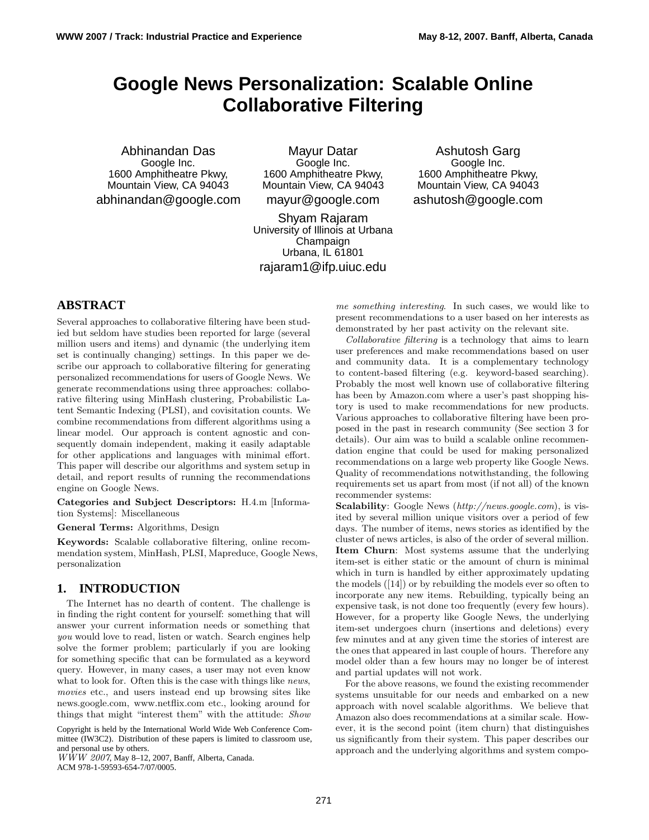# **Google News Personalization: Scalable Online Collaborative Filtering**

Abhinandan Das Google Inc. 1600 Amphitheatre Pkwy, Mountain View, CA 94043 abhinandan@google.com

Mayur Datar Google Inc. 1600 Amphitheatre Pkwy, Mountain View, CA 94043

mayur@google.com

Shyam Rajaram University of Illinois at Urbana Champaign Urbana, IL 61801 rajaram1@ifp.uiuc.edu

Ashutosh Garg Google Inc. 1600 Amphitheatre Pkwy, Mountain View, CA 94043 ashutosh@google.com

# **ABSTRACT**

Several approaches to collaborative filtering have been studied but seldom have studies been reported for large (several million users and items) and dynamic (the underlying item set is continually changing) settings. In this paper we describe our approach to collaborative filtering for generating personalized recommendations for users of Google News. We generate recommendations using three approaches: collaborative filtering using MinHash clustering, Probabilistic Latent Semantic Indexing (PLSI), and covisitation counts. We combine recommendations from different algorithms using a linear model. Our approach is content agnostic and consequently domain independent, making it easily adaptable for other applications and languages with minimal effort. This paper will describe our algorithms and system setup in detail, and report results of running the recommendations engine on Google News.

**Categories and Subject Descriptors:** H.4.m [Information Systems]: Miscellaneous

**General Terms:** Algorithms, Design

**Keywords:** Scalable collaborative filtering, online recommendation system, MinHash, PLSI, Mapreduce, Google News, personalization

## **1. INTRODUCTION**

The Internet has no dearth of content. The challenge is in finding the right content for yourself: something that will answer your current information needs or something that *you* would love to read, listen or watch. Search engines help solve the former problem; particularly if you are looking for something specific that can be formulated as a keyword query. However, in many cases, a user may not even know what to look for. Often this is the case with things like *news*, *movies* etc., and users instead end up browsing sites like news.google.com, www.netflix.com etc., looking around for things that might "interest them" with the attitude: *Show*

Copyright is held by the International World Wide Web Conference Committee (IW3C2). Distribution of these papers is limited to classroom use, and personal use by others.

*WWW 2007*, May 8–12, 2007, Banff, Alberta, Canada. ACM 978-1-59593-654-7/07/0005.

*me something interesting*. In such cases, we would like to present recommendations to a user based on her interests as demonstrated by her past activity on the relevant site.

*Collaborative filtering* is a technology that aims to learn user preferences and make recommendations based on user and community data. It is a complementary technology to content-based filtering (e.g. keyword-based searching). Probably the most well known use of collaborative filtering has been by Amazon.com where a user's past shopping history is used to make recommendations for new products. Various approaches to collaborative filtering have been proposed in the past in research community (See section 3 for details). Our aim was to build a scalable online recommendation engine that could be used for making personalized recommendations on a large web property like Google News. Quality of recommendations notwithstanding, the following requirements set us apart from most (if not all) of the known recommender systems:

**Scalability**: Google News (*http://news.google.com*), is visited by several million unique visitors over a period of few days. The number of items, news stories as identified by the cluster of news articles, is also of the order of several million. **Item Churn**: Most systems assume that the underlying item-set is either static or the amount of churn is minimal which in turn is handled by either approximately updating the models ([14]) or by rebuilding the models ever so often to incorporate any new items. Rebuilding, typically being an expensive task, is not done too frequently (every few hours). However, for a property like Google News, the underlying item-set undergoes churn (insertions and deletions) every few minutes and at any given time the stories of interest are the ones that appeared in last couple of hours. Therefore any model older than a few hours may no longer be of interest and partial updates will not work.

For the above reasons, we found the existing recommender systems unsuitable for our needs and embarked on a new approach with novel scalable algorithms. We believe that Amazon also does recommendations at a similar scale. However, it is the second point (item churn) that distinguishes us significantly from their system. This paper describes our approach and the underlying algorithms and system compo-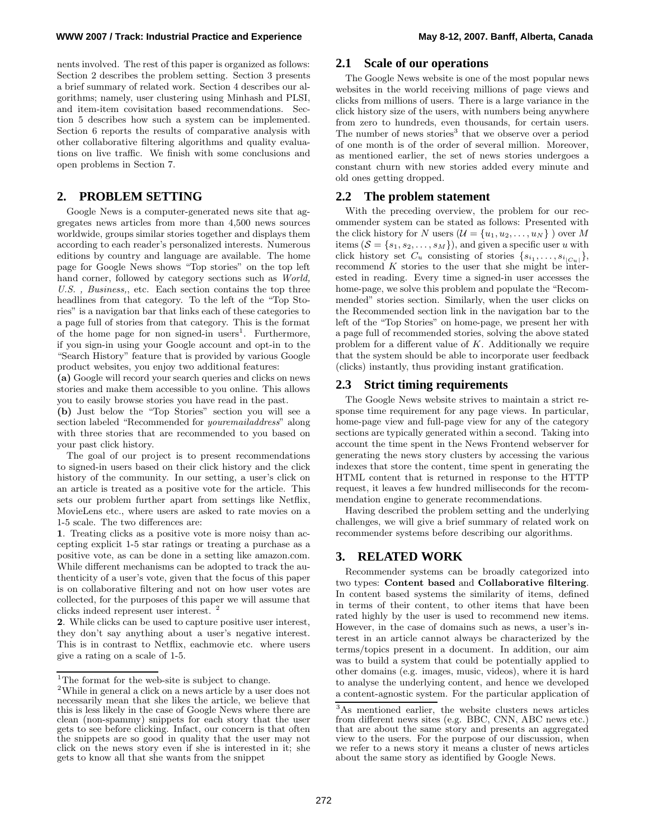nents involved. The rest of this paper is organized as follows: Section 2 describes the problem setting. Section 3 presents a brief summary of related work. Section 4 describes our algorithms; namely, user clustering using Minhash and PLSI, and item-item covisitation based recommendations. Section 5 describes how such a system can be implemented. Section 6 reports the results of comparative analysis with other collaborative filtering algorithms and quality evaluations on live traffic. We finish with some conclusions and open problems in Section 7.

## **2. PROBLEM SETTING**

Google News is a computer-generated news site that aggregates news articles from more than 4,500 news sources worldwide, groups similar stories together and displays them according to each reader's personalized interests. Numerous editions by country and language are available. The home page for Google News shows "Top stories" on the top left hand corner, followed by category sections such as *World, U.S. , Business,*, etc. Each section contains the top three headlines from that category. To the left of the "Top Stories" is a navigation bar that links each of these categories to a page full of stories from that category. This is the format of the home page for non signed-in users<sup>1</sup>. Furthermore, if you sign-in using your Google account and opt-in to the "Search History" feature that is provided by various Google product websites, you enjoy two additional features:

**(a)** Google will record your search queries and clicks on news stories and make them accessible to you online. This allows you to easily browse stories you have read in the past.

**(b)** Just below the "Top Stories" section you will see a section labeled "Recommended for *youremailaddress*" along with three stories that are recommended to you based on your past click history.

The goal of our project is to present recommendations to signed-in users based on their click history and the click history of the community. In our setting, a user's click on an article is treated as a positive vote for the article. This sets our problem further apart from settings like Netflix, MovieLens etc., where users are asked to rate movies on a 1-5 scale. The two differences are:

**1**. Treating clicks as a positive vote is more noisy than accepting explicit 1-5 star ratings or treating a purchase as a positive vote, as can be done in a setting like amazon.com. While different mechanisms can be adopted to track the authenticity of a user's vote, given that the focus of this paper is on collaborative filtering and not on how user votes are collected, for the purposes of this paper we will assume that clicks indeed represent user interest. <sup>2</sup>

**2**. While clicks can be used to capture positive user interest, they don't say anything about a user's negative interest. This is in contrast to Netflix, eachmovie etc. where users give a rating on a scale of 1-5.

#### **2.1 Scale of our operations**

The Google News website is one of the most popular news websites in the world receiving millions of page views and clicks from millions of users. There is a large variance in the click history size of the users, with numbers being anywhere from zero to hundreds, even thousands, for certain users. The number of news stories<sup>3</sup> that we observe over a period of one month is of the order of several million. Moreover, as mentioned earlier, the set of news stories undergoes a constant churn with new stories added every minute and old ones getting dropped.

## **2.2 The problem statement**

With the preceding overview, the problem for our recommender system can be stated as follows: Presented with the click history for N users  $(\mathcal{U} = \{u_1, u_2, \dots, u_N\})$  over M items  $(S = \{s_1, s_2, \ldots, s_M\})$ , and given a specific user u with click history set  $C_u$  consisting of stories  $\{s_{i_1}, \ldots, s_{i_{|C_u|}}\},\$ recommend  $K$  stories to the user that she might be interested in reading. Every time a signed-in user accesses the home-page, we solve this problem and populate the "Recommended" stories section. Similarly, when the user clicks on the Recommended section link in the navigation bar to the left of the "Top Stories" on home-page, we present her with a page full of recommended stories, solving the above stated problem for a different value of K. Additionally we require that the system should be able to incorporate user feedback (clicks) instantly, thus providing instant gratification.

#### **2.3 Strict timing requirements**

The Google News website strives to maintain a strict response time requirement for any page views. In particular, home-page view and full-page view for any of the category sections are typically generated within a second. Taking into account the time spent in the News Frontend webserver for generating the news story clusters by accessing the various indexes that store the content, time spent in generating the HTML content that is returned in response to the HTTP request, it leaves a few hundred milliseconds for the recommendation engine to generate recommendations.

Having described the problem setting and the underlying challenges, we will give a brief summary of related work on recommender systems before describing our algorithms.

## **3. RELATED WORK**

Recommender systems can be broadly categorized into two types: **Content based** and **Collaborative filtering**. In content based systems the similarity of items, defined in terms of their content, to other items that have been rated highly by the user is used to recommend new items. However, in the case of domains such as news, a user's interest in an article cannot always be characterized by the terms/topics present in a document. In addition, our aim was to build a system that could be potentially applied to other domains (e.g. images, music, videos), where it is hard to analyse the underlying content, and hence we developed a content-agnostic system. For the particular application of

 $^{\rm 1}{\rm The}$  format for the web-site is subject to change.

<sup>2</sup>While in general a click on a news article by a user does not necessarily mean that she likes the article, we believe that this is less likely in the case of Google News where there are clean (non-spammy) snippets for each story that the user gets to see before clicking. Infact, our concern is that often the snippets are so good in quality that the user may not click on the news story even if she is interested in it; she gets to know all that she wants from the snippet

<sup>3</sup>As mentioned earlier, the website clusters news articles from different news sites (e.g. BBC, CNN, ABC news etc.) that are about the same story and presents an aggregated view to the users. For the purpose of our discussion, when we refer to a news story it means a cluster of news articles about the same story as identified by Google News.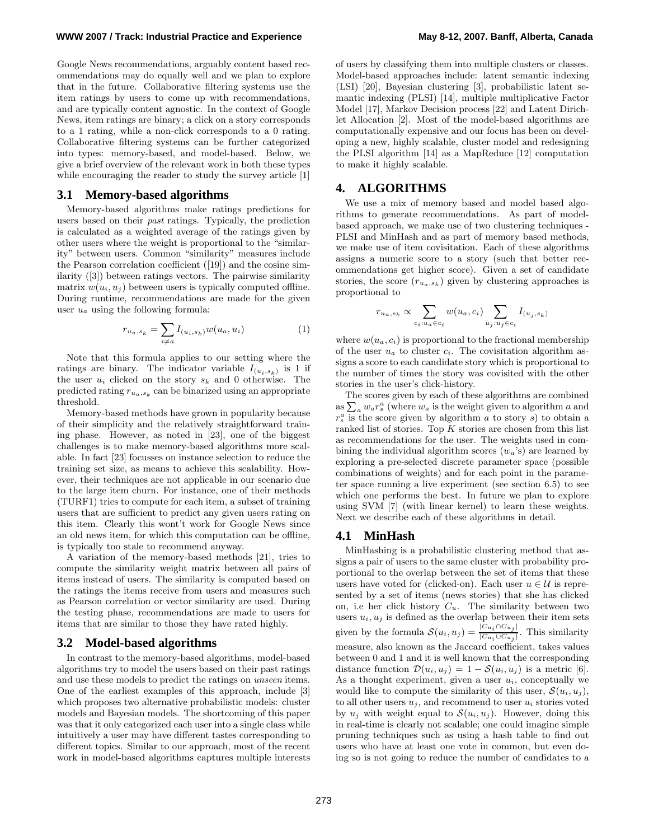Google News recommendations, arguably content based recommendations may do equally well and we plan to explore that in the future. Collaborative filtering systems use the item ratings by users to come up with recommendations, and are typically content agnostic. In the context of Google News, item ratings are binary; a click on a story corresponds to a 1 rating, while a non-click corresponds to a 0 rating. Collaborative filtering systems can be further categorized into types: memory-based, and model-based. Below, we give a brief overview of the relevant work in both these types while encouraging the reader to study the survey article [1]

## **3.1 Memory-based algorithms**

Memory-based algorithms make ratings predictions for users based on their *past* ratings. Typically, the prediction is calculated as a weighted average of the ratings given by other users where the weight is proportional to the "similarity" between users. Common "similarity" measures include the Pearson correlation coefficient ([19]) and the cosine similarity ([3]) between ratings vectors. The pairwise similarity matrix  $w(u_i, u_j)$  between users is typically computed offline. During runtime, recommendations are made for the given user u*<sup>a</sup>* using the following formula:

$$
r_{u_a, s_k} = \sum_{i \neq a} I_{(u_i, s_k)} w(u_a, u_i)
$$
 (1)

Note that this formula applies to our setting where the ratings are binary. The indicator variable  $I_{(u_i, s_k)}$  is 1 if the user u*<sup>i</sup>* clicked on the story s*<sup>k</sup>* and 0 otherwise. The predicted rating  $r_{u_a,s_k}$  can be binarized using an appropriate threshold.

Memory-based methods have grown in popularity because of their simplicity and the relatively straightforward training phase. However, as noted in [23], one of the biggest challenges is to make memory-based algorithms more scalable. In fact [23] focusses on instance selection to reduce the training set size, as means to achieve this scalability. However, their techniques are not applicable in our scenario due to the large item churn. For instance, one of their methods (TURF1) tries to compute for each item, a subset of training users that are sufficient to predict any given users rating on this item. Clearly this wont't work for Google News since an old news item, for which this computation can be offline, is typically too stale to recommend anyway.

A variation of the memory-based methods [21], tries to compute the similarity weight matrix between all pairs of items instead of users. The similarity is computed based on the ratings the items receive from users and measures such as Pearson correlation or vector similarity are used. During the testing phase, recommendations are made to users for items that are similar to those they have rated highly.

#### **3.2 Model-based algorithms**

In contrast to the memory-based algorithms, model-based algorithms try to model the users based on their past ratings and use these models to predict the ratings on *unseen* items. One of the earliest examples of this approach, include [3] which proposes two alternative probabilistic models: cluster models and Bayesian models. The shortcoming of this paper was that it only categorized each user into a single class while intuitively a user may have different tastes corresponding to different topics. Similar to our approach, most of the recent work in model-based algorithms captures multiple interests of users by classifying them into multiple clusters or classes. Model-based approaches include: latent semantic indexing (LSI) [20], Bayesian clustering [3], probabilistic latent semantic indexing (PLSI) [14], multiple multiplicative Factor Model [17], Markov Decision process [22] and Latent Dirichlet Allocation [2]. Most of the model-based algorithms are computationally expensive and our focus has been on developing a new, highly scalable, cluster model and redesigning the PLSI algorithm [14] as a MapReduce [12] computation to make it highly scalable.

## **4. ALGORITHMS**

We use a mix of memory based and model based algorithms to generate recommendations. As part of modelbased approach, we make use of two clustering techniques - PLSI and MinHash and as part of memory based methods, we make use of item covisitation. Each of these algorithms assigns a numeric score to a story (such that better recommendations get higher score). Given a set of candidate stories, the score  $(r_{u_a,s_k})$  given by clustering approaches is proportional to

$$
r_{u_a,s_k} \propto \sum_{c_i: u_a \in c_i} w(u_a,c_i) \sum_{u_j: u_j \in c_i} I_{(u_j,s_k)}
$$

where  $w(u_a, c_i)$  is proportional to the fractional membership of the user  $u_a$  to cluster  $c_i$ . The covisitation algorithm assigns a score to each candidate story which is proportional to the number of times the story was covisited with the other stories in the user's click-history.

The scores given by each of these algorithms are combined as  $\sum_a w_a r_s^a$  (where  $w_a$  is the weight given to algorithm a and  $r_s^a$  is the score given by algorithm a to story s) to obtain a ranked list of stories. Top K stories are chosen from this list as recommendations for the user. The weights used in combining the individual algorithm scores  $(w_a)$  are learned by exploring a pre-selected discrete parameter space (possible combinations of weights) and for each point in the parameter space running a live experiment (see section 6.5) to see which one performs the best. In future we plan to explore using SVM [7] (with linear kernel) to learn these weights. Next we describe each of these algorithms in detail.

#### **4.1 MinHash**

MinHashing is a probabilistic clustering method that assigns a pair of users to the same cluster with probability proportional to the overlap between the set of items that these users have voted for (clicked-on). Each user  $u \in \mathcal{U}$  is represented by a set of items (news stories) that she has clicked on, i.e her click history  $C_u$ . The similarity between two users  $u_i, u_j$  is defined as the overlap between their item sets given by the formula  $\mathcal{S}(u_i, u_j) = \frac{|C_{u_i} \cap C_{u_j}|}{|C_{u_i} \cup C_{u_j}|}$ . This similarity measure, also known as the Jaccard coefficient, takes values between 0 and 1 and it is well known that the corresponding distance function  $\mathcal{D}(u_i, u_j) = 1 - \mathcal{S}(u_i, u_j)$  is a metric [6]. As a thought experiment, given a user  $u_i$ , conceptually we would like to compute the similarity of this user,  $\mathcal{S}(u_i, u_j)$ , to all other users  $u_i$ , and recommend to user  $u_i$  stories voted by  $u_i$  with weight equal to  $\mathcal{S}(u_i, u_i)$ . However, doing this in real-time is clearly not scalable; one could imagine simple pruning techniques such as using a hash table to find out users who have at least one vote in common, but even doing so is not going to reduce the number of candidates to a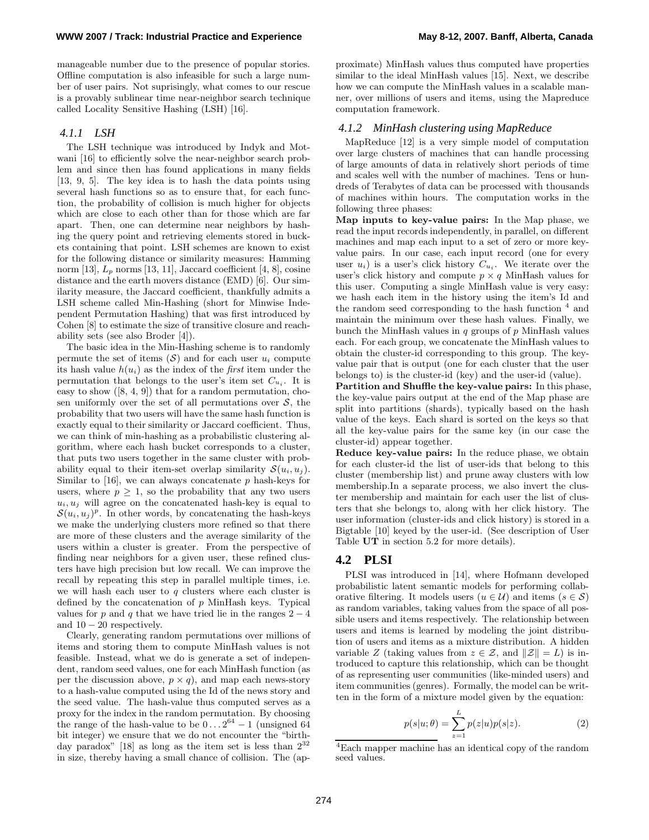manageable number due to the presence of popular stories. Offline computation is also infeasible for such a large number of user pairs. Not suprisingly, what comes to our rescue is a provably sublinear time near-neighbor search technique called Locality Sensitive Hashing (LSH) [16].

#### *4.1.1 LSH*

The LSH technique was introduced by Indyk and Motwani [16] to efficiently solve the near-neighbor search problem and since then has found applications in many fields [13, 9, 5]. The key idea is to hash the data points using several hash functions so as to ensure that, for each function, the probability of collision is much higher for objects which are close to each other than for those which are far apart. Then, one can determine near neighbors by hashing the query point and retrieving elements stored in buckets containing that point. LSH schemes are known to exist for the following distance or similarity measures: Hamming norm [13],  $L_p$  norms [13, 11], Jaccard coefficient [4, 8], cosine distance and the earth movers distance (EMD) [6]. Our similarity measure, the Jaccard coefficient, thankfully admits a LSH scheme called Min-Hashing (short for Minwise Independent Permutation Hashing) that was first introduced by Cohen [8] to estimate the size of transitive closure and reachability sets (see also Broder [4]).

The basic idea in the Min-Hashing scheme is to randomly permute the set of items  $(S)$  and for each user  $u_i$  compute its hash value  $h(u_i)$  as the index of the *first* item under the permutation that belongs to the user's item set  $C_{u_i}$ . It is easy to show  $([8, 4, 9])$  that for a random permutation, chosen uniformly over the set of all permutations over  $S$ , the probability that two users will have the same hash function is exactly equal to their similarity or Jaccard coefficient. Thus, we can think of min-hashing as a probabilistic clustering algorithm, where each hash bucket corresponds to a cluster, that puts two users together in the same cluster with probability equal to their item-set overlap similarity  $S(u_i, u_j)$ . Similar to  $[16]$ , we can always concatenate p hash-keys for users, where  $p \geq 1$ , so the probability that any two users  $u_i, u_j$  will agree on the concatenated hash-key is equal to  $\mathcal{S}(u_i, u_j)^p$ . In other words, by concatenating the hash-keys we make the underlying clusters more refined so that there are more of these clusters and the average similarity of the users within a cluster is greater. From the perspective of finding near neighbors for a given user, these refined clusters have high precision but low recall. We can improve the recall by repeating this step in parallel multiple times, i.e. we will hash each user to  $q$  clusters where each cluster is defined by the concatenation of p MinHash keys. Typical values for p and q that we have tried lie in the ranges  $2 - 4$ and  $10 - 20$  respectively.

Clearly, generating random permutations over millions of items and storing them to compute MinHash values is not feasible. Instead, what we do is generate a set of independent, random seed values, one for each MinHash function (as per the discussion above,  $p \times q$ , and map each news-story to a hash-value computed using the Id of the news story and the seed value. The hash-value thus computed serves as a proxy for the index in the random permutation. By choosing the range of the hash-value to be  $0 \ldots 2^{64} - 1$  (unsigned 64 bit integer) we ensure that we do not encounter the "birthday paradox" [18] as long as the item set is less than  $2^{32}$ in size, thereby having a small chance of collision. The (approximate) MinHash values thus computed have properties similar to the ideal MinHash values [15]. Next, we describe how we can compute the MinHash values in a scalable manner, over millions of users and items, using the Mapreduce computation framework.

## *4.1.2 MinHash clustering using MapReduce*

MapReduce [12] is a very simple model of computation over large clusters of machines that can handle processing of large amounts of data in relatively short periods of time and scales well with the number of machines. Tens or hundreds of Terabytes of data can be processed with thousands of machines within hours. The computation works in the following three phases:

**Map inputs to key-value pairs:** In the Map phase, we read the input records independently, in parallel, on different machines and map each input to a set of zero or more keyvalue pairs. In our case, each input record (one for every user  $u_i$ ) is a user's click history  $C_{u_i}$ . We iterate over the user's click history and compute  $p \times q$  MinHash values for this user. Computing a single MinHash value is very easy: we hash each item in the history using the item's Id and the random seed corresponding to the hash function  $4$  and maintain the minimum over these hash values. Finally, we bunch the MinHash values in  $q$  groups of  $p$  MinHash values each. For each group, we concatenate the MinHash values to obtain the cluster-id corresponding to this group. The keyvalue pair that is output (one for each cluster that the user belongs to) is the cluster-id (key) and the user-id (value).

**Partition and Shuffle the key-value pairs:** In this phase, the key-value pairs output at the end of the Map phase are split into partitions (shards), typically based on the hash value of the keys. Each shard is sorted on the keys so that all the key-value pairs for the same key (in our case the cluster-id) appear together.

**Reduce key-value pairs:** In the reduce phase, we obtain for each cluster-id the list of user-ids that belong to this cluster (membership list) and prune away clusters with low membership.In a separate process, we also invert the cluster membership and maintain for each user the list of clusters that she belongs to, along with her click history. The user information (cluster-ids and click history) is stored in a Bigtable [10] keyed by the user-id. (See description of User Table **UT** in section 5.2 for more details).

## **4.2 PLSI**

PLSI was introduced in [14], where Hofmann developed probabilistic latent semantic models for performing collaborative filtering. It models users  $(u \in \mathcal{U})$  and items  $(s \in \mathcal{S})$ as random variables, taking values from the space of all possible users and items respectively. The relationship between users and items is learned by modeling the joint distribution of users and items as a mixture distribution. A hidden variable Z (taking values from  $z \in \mathcal{Z}$ , and  $\|\mathcal{Z}\| = L$ ) is introduced to capture this relationship, which can be thought of as representing user communities (like-minded users) and item communities (genres). Formally, the model can be written in the form of a mixture model given by the equation:

$$
p(s|u; \theta) = \sum_{z=1}^{L} p(z|u)p(s|z).
$$
 (2)

<sup>4</sup>Each mapper machine has an identical copy of the random seed values.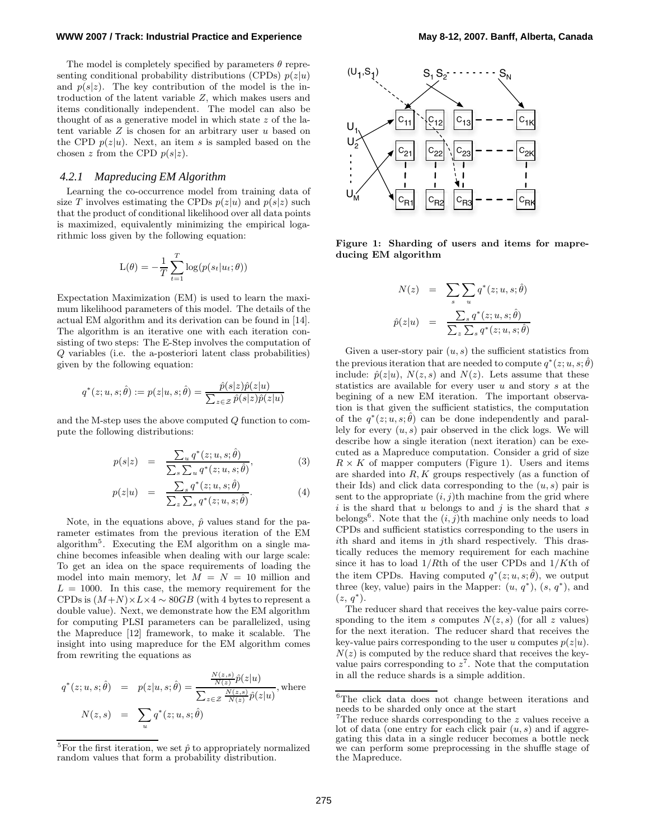The model is completely specified by parameters  $\theta$  representing conditional probability distributions (CPDs)  $p(z|u)$ and  $p(s|z)$ . The key contribution of the model is the introduction of the latent variable Z, which makes users and items conditionally independent. The model can also be thought of as a generative model in which state z of the latent variable  $Z$  is chosen for an arbitrary user  $u$  based on the CPD  $p(z|u)$ . Next, an item s is sampled based on the chosen z from the CPD  $p(s|z)$ .

#### *4.2.1 Mapreducing EM Algorithm*

Learning the co-occurrence model from training data of size T involves estimating the CPDs  $p(z|u)$  and  $p(s|z)$  such that the product of conditional likelihood over all data points is maximized, equivalently minimizing the empirical logarithmic loss given by the following equation:

$$
\mathcal{L}(\theta) = -\frac{1}{T} \sum_{t=1}^{T} \log(p(s_t|u_t; \theta))
$$

Expectation Maximization (EM) is used to learn the maximum likelihood parameters of this model. The details of the actual EM algorithm and its derivation can be found in [14]. The algorithm is an iterative one with each iteration consisting of two steps: The E-Step involves the computation of Q variables (i.e. the a-posteriori latent class probabilities) given by the following equation:

$$
q^*(z; u, s; \hat{\theta}) := p(z|u, s; \hat{\theta}) = \frac{\hat{p}(s|z)\hat{p}(z|u)}{\sum_{z \in \mathcal{Z}} \hat{p}(s|z)\hat{p}(z|u)}
$$

and the M-step uses the above computed Q function to compute the following distributions:

$$
p(s|z) = \frac{\sum_{u} q^*(z; u, s; \hat{\theta})}{\sum_{s} \sum_{u} q^*(z; u, s; \hat{\theta})},
$$
(3)

$$
p(z|u) = \frac{\sum_{s} q^{*}(z; u, s; \hat{\theta})}{\sum_{z} \sum_{s} q^{*}(z; u, s; \hat{\theta})}.
$$
 (4)

Note, in the equations above,  $\hat{p}$  values stand for the parameter estimates from the previous iteration of the EM algorithm<sup>5</sup>. Executing the EM algorithm on a single machine becomes infeasible when dealing with our large scale: To get an idea on the space requirements of loading the model into main memory, let  $M = N = 10$  million and  $L = 1000$ . In this case, the memory requirement for the CPDs is  $(M+N) \times L \times 4 \sim 80GB$  (with 4 bytes to represent a double value). Next, we demonstrate how the EM algorithm for computing PLSI parameters can be parallelized, using the Mapreduce [12] framework, to make it scalable. The insight into using mapreduce for the EM algorithm comes from rewriting the equations as

$$
q^*(z; u, s; \hat{\theta}) = p(z|u, s; \hat{\theta}) = \frac{\frac{N(z, s)}{N(z)} \hat{p}(z|u)}{\sum_{z \in \mathcal{Z}} \frac{N(z, s)}{N(z)} \hat{p}(z|u)}, \text{where}
$$

$$
N(z, s) = \sum_u q^*(z; u, s; \hat{\theta})
$$



**Figure 1: Sharding of users and items for mapreducing EM algorithm**

$$
N(z) = \sum_{s} \sum_{u} q^{*}(z; u, s; \hat{\theta})
$$

$$
\hat{p}(z|u) = \frac{\sum_{s} q^{*}(z; u, s; \hat{\theta})}{\sum_{z} \sum_{s} q^{*}(z; u, s; \hat{\theta})}
$$

Given a user-story pair  $(u, s)$  the sufficient statistics from the previous iteration that are needed to compute  $q^*(z; u, s; \hat{\theta})$ include:  $\hat{p}(z|u)$ ,  $N(z, s)$  and  $N(z)$ . Lets assume that these statistics are available for every user  $u$  and story  $s$  at the begining of a new EM iteration. The important observation is that given the sufficient statistics, the computation of the  $q^*(z; u, s; \hat{\theta})$  can be done independently and parallely for every  $(u, s)$  pair observed in the click logs. We will describe how a single iteration (next iteration) can be executed as a Mapreduce computation. Consider a grid of size  $R \times K$  of mapper computers (Figure 1). Users and items are sharded into  $R, K$  groups respectively (as a function of their Ids) and click data corresponding to the  $(u, s)$  pair is sent to the appropriate  $(i, j)$ th machine from the grid where  $i$  is the shard that u belongs to and j is the shard that s belongs<sup>6</sup>. Note that the  $(i, j)$ th machine only needs to load CPDs and sufficient statistics corresponding to the users in ith shard and items in jth shard respectively. This drastically reduces the memory requirement for each machine since it has to load  $1/Rth$  of the user CPDs and  $1/Kth$  of the item CPDs. Having computed  $q^*(z; u, s; \hat{\theta})$ , we output three (key, value) pairs in the Mapper:  $(u, q^*), (s, q^*)$ , and  $(z, q^*).$ 

The reducer shard that receives the key-value pairs corresponding to the item s computes  $N(z, s)$  (for all z values) for the next iteration. The reducer shard that receives the key-value pairs corresponding to the user u computes  $p(z|u)$ .  $N(z)$  is computed by the reduce shard that receives the keyvalue pairs corresponding to  $z^7$ . Note that the computation in all the reduce shards is a simple addition.

 ${}^{5}$ For the first iteration, we set  $\hat{p}$  to appropriately normalized random values that form a probability distribution.

<sup>6</sup>The click data does not change between iterations and needs to be sharded only once at the start

<sup>&</sup>lt;sup>7</sup>The reduce shards corresponding to the  $z$  values receive a lot of data (one entry for each click pair  $(u, s)$  and if aggregating this data in a single reducer becomes a bottle neck we can perform some preprocessing in the shuffle stage of the Mapreduce.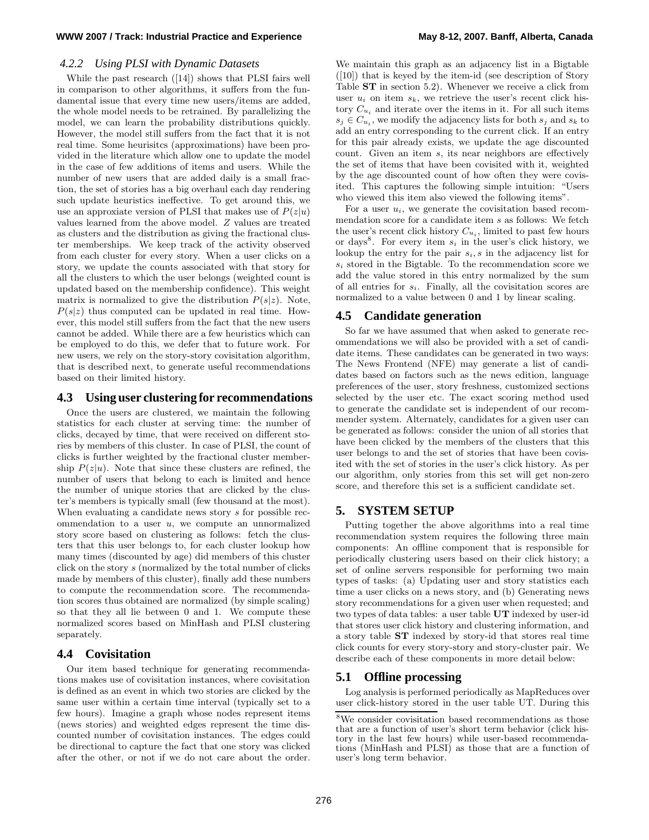#### *4.2.2 Using PLSI with Dynamic Datasets*

While the past research ([14]) shows that PLSI fairs well in comparison to other algorithms, it suffers from the fundamental issue that every time new users/items are added, the whole model needs to be retrained. By parallelizing the model, we can learn the probability distributions quickly. However, the model still suffers from the fact that it is not real time. Some heurisitcs (approximations) have been provided in the literature which allow one to update the model in the case of few additions of items and users. While the number of new users that are added daily is a small fraction, the set of stories has a big overhaul each day rendering such update heuristics ineffective. To get around this, we use an approxiate version of PLSI that makes use of  $P(z|u)$ values learned from the above model. Z values are treated as clusters and the distribution as giving the fractional cluster memberships. We keep track of the activity observed from each cluster for every story. When a user clicks on a story, we update the counts associated with that story for all the clusters to which the user belongs (weighted count is updated based on the membership confidence). This weight matrix is normalized to give the distribution  $P(s|z)$ . Note,  $P(s|z)$  thus computed can be updated in real time. However, this model still suffers from the fact that the new users cannot be added. While there are a few heuristics which can be employed to do this, we defer that to future work. For new users, we rely on the story-story covisitation algorithm, that is described next, to generate useful recommendations based on their limited history.

#### **4.3 Using user clustering for recommendations**

Once the users are clustered, we maintain the following statistics for each cluster at serving time: the number of clicks, decayed by time, that were received on different stories by members of this cluster. In case of PLSI, the count of clicks is further weighted by the fractional cluster membership  $P(z|u)$ . Note that since these clusters are refined, the number of users that belong to each is limited and hence the number of unique stories that are clicked by the cluster's members is typically small (few thousand at the most). When evaluating a candidate news story s for possible recommendation to a user  $u$ , we compute an unnormalized story score based on clustering as follows: fetch the clusters that this user belongs to, for each cluster lookup how many times (discounted by age) did members of this cluster click on the story s (normalized by the total number of clicks made by members of this cluster), finally add these numbers to compute the recommendation score. The recommendation scores thus obtained are normalized (by simple scaling) so that they all lie between 0 and 1. We compute these normalized scores based on MinHash and PLSI clustering separately.

## **4.4 Covisitation**

Our item based technique for generating recommendations makes use of covisitation instances, where covisitation is defined as an event in which two stories are clicked by the same user within a certain time interval (typically set to a few hours). Imagine a graph whose nodes represent items (news stories) and weighted edges represent the time discounted number of covisitation instances. The edges could be directional to capture the fact that one story was clicked after the other, or not if we do not care about the order.

We maintain this graph as an adjacency list in a Bigtable  $([10])$  that is keyed by the item-id (see description of Story Table **ST** in section 5.2). Whenever we receive a click from user  $u_i$  on item  $s_k$ , we retrieve the user's recent click history  $C_{u_i}$  and iterate over the items in it. For all such items  $s_j \in C_{u_j}$ , we modify the adjacency lists for both  $s_j$  and  $s_k$  to add an entry corresponding to the current click. If an entry for this pair already exists, we update the age discounted count. Given an item s, its near neighbors are effectively the set of items that have been covisited with it, weighted by the age discounted count of how often they were covisited. This captures the following simple intuition: "Users who viewed this item also viewed the following items".

For a user  $u_i$ , we generate the covisitation based recommendation score for a candidate item s as follows: We fetch the user's recent click history  $C_{u_i}$ , limited to past few hours or days<sup>8</sup>. For every item  $s_i$  in the user's click history, we lookup the entry for the pair  $s_i$ , s in the adjacency list for s*<sup>i</sup>* stored in the Bigtable. To the recommendation score we add the value stored in this entry normalized by the sum of all entries for  $s_i$ . Finally, all the covisitation scores are normalized to a value between 0 and 1 by linear scaling.

#### **4.5 Candidate generation**

So far we have assumed that when asked to generate recommendations we will also be provided with a set of candidate items. These candidates can be generated in two ways: The News Frontend (NFE) may generate a list of candidates based on factors such as the news edition, language preferences of the user, story freshness, customized sections selected by the user etc. The exact scoring method used to generate the candidate set is independent of our recommender system. Alternately, candidates for a given user can be generated as follows: consider the union of all stories that have been clicked by the members of the clusters that this user belongs to and the set of stories that have been covisited with the set of stories in the user's click history. As per our algorithm, only stories from this set will get non-zero score, and therefore this set is a sufficient candidate set.

# **5. SYSTEM SETUP**

Putting together the above algorithms into a real time recommendation system requires the following three main components: An offline component that is responsible for periodically clustering users based on their click history; a set of online servers responsible for performing two main types of tasks: (a) Updating user and story statistics each time a user clicks on a news story, and (b) Generating news story recommendations for a given user when requested; and two types of data tables: a user table **UT** indexed by user-id that stores user click history and clustering information, and a story table **ST** indexed by story-id that stores real time click counts for every story-story and story-cluster pair. We describe each of these components in more detail below:

## **5.1 Offline processing**

Log analysis is performed periodically as MapReduces over user click-history stored in the user table UT. During this

<sup>8</sup>We consider covisitation based recommendations as those that are a function of user's short term behavior (click history in the last few hours) while user-based recommendations (MinHash and PLSI) as those that are a function of user's long term behavior.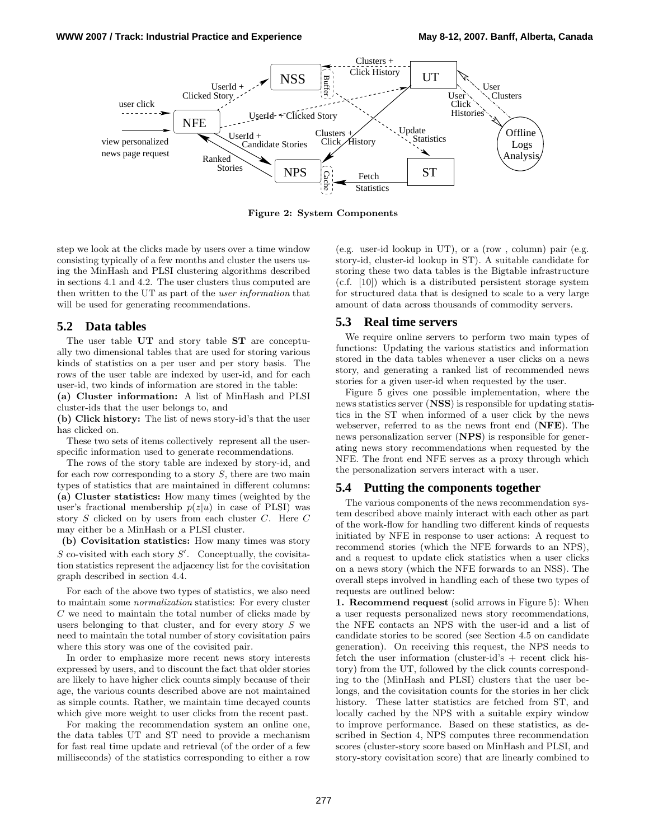

**Figure 2: System Components**

step we look at the clicks made by users over a time window consisting typically of a few months and cluster the users using the MinHash and PLSI clustering algorithms described in sections 4.1 and 4.2. The user clusters thus computed are then written to the UT as part of the *user information* that will be used for generating recommendations.

## **5.2 Data tables**

The user table **UT** and story table **ST** are conceptually two dimensional tables that are used for storing various kinds of statistics on a per user and per story basis. The rows of the user table are indexed by user-id, and for each user-id, two kinds of information are stored in the table:

**(a) Cluster information:** A list of MinHash and PLSI cluster-ids that the user belongs to, and

**(b) Click history:** The list of news story-id's that the user has clicked on.

These two sets of items collectively represent all the userspecific information used to generate recommendations.

The rows of the story table are indexed by story-id, and for each row corresponding to a story  $S$ , there are two main types of statistics that are maintained in different columns: **(a) Cluster statistics:** How many times (weighted by the user's fractional membership  $p(z|u)$  in case of PLSI) was story S clicked on by users from each cluster C. Here C may either be a MinHash or a PLSI cluster.

**(b) Covisitation statistics:** How many times was story S co-visited with each story  $S'$ . Conceptually, the covisitation statistics represent the adjacency list for the covisitation graph described in section 4.4.

For each of the above two types of statistics, we also need to maintain some *normalization* statistics: For every cluster C we need to maintain the total number of clicks made by users belonging to that cluster, and for every story S we need to maintain the total number of story covisitation pairs where this story was one of the covisited pair.

In order to emphasize more recent news story interests expressed by users, and to discount the fact that older stories are likely to have higher click counts simply because of their age, the various counts described above are not maintained as simple counts. Rather, we maintain time decayed counts which give more weight to user clicks from the recent past.

For making the recommendation system an online one, the data tables UT and ST need to provide a mechanism for fast real time update and retrieval (of the order of a few milliseconds) of the statistics corresponding to either a row (e.g. user-id lookup in UT), or a (row , column) pair (e.g. story-id, cluster-id lookup in ST). A suitable candidate for storing these two data tables is the Bigtable infrastructure (c.f. [10]) which is a distributed persistent storage system for structured data that is designed to scale to a very large amount of data across thousands of commodity servers.

#### **5.3 Real time servers**

We require online servers to perform two main types of functions: Updating the various statistics and information stored in the data tables whenever a user clicks on a news story, and generating a ranked list of recommended news stories for a given user-id when requested by the user.

Figure 5 gives one possible implementation, where the news statistics server (**NSS**) is responsible for updating statistics in the ST when informed of a user click by the news webserver, referred to as the news front end (**NFE**). The news personalization server (**NPS**) is responsible for generating news story recommendations when requested by the NFE. The front end NFE serves as a proxy through which the personalization servers interact with a user.

## **5.4 Putting the components together**

The various components of the news recommendation system described above mainly interact with each other as part of the work-flow for handling two different kinds of requests initiated by NFE in response to user actions: A request to recommend stories (which the NFE forwards to an NPS), and a request to update click statistics when a user clicks on a news story (which the NFE forwards to an NSS). The overall steps involved in handling each of these two types of requests are outlined below:

**1. Recommend request** (solid arrows in Figure 5): When a user requests personalized news story recommendations, the NFE contacts an NPS with the user-id and a list of candidate stories to be scored (see Section 4.5 on candidate generation). On receiving this request, the NPS needs to fetch the user information (cluster-id's  $+$  recent click history) from the UT, followed by the click counts corresponding to the (MinHash and PLSI) clusters that the user belongs, and the covisitation counts for the stories in her click history. These latter statistics are fetched from ST, and locally cached by the NPS with a suitable expiry window to improve performance. Based on these statistics, as described in Section 4, NPS computes three recommendation scores (cluster-story score based on MinHash and PLSI, and story-story covisitation score) that are linearly combined to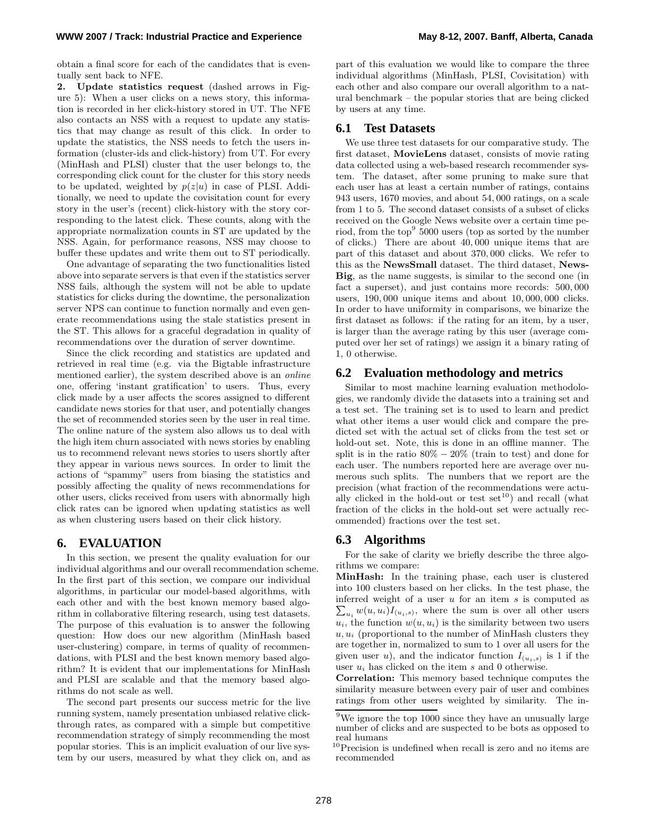obtain a final score for each of the candidates that is eventually sent back to NFE.

**2. Update statistics request** (dashed arrows in Figure 5): When a user clicks on a news story, this information is recorded in her click-history stored in UT. The NFE also contacts an NSS with a request to update any statistics that may change as result of this click. In order to update the statistics, the NSS needs to fetch the users information (cluster-ids and click-history) from UT. For every (MinHash and PLSI) cluster that the user belongs to, the corresponding click count for the cluster for this story needs to be updated, weighted by  $p(z|u)$  in case of PLSI. Additionally, we need to update the covisitation count for every story in the user's (recent) click-history with the story corresponding to the latest click. These counts, along with the appropriate normalization counts in ST are updated by the NSS. Again, for performance reasons, NSS may choose to buffer these updates and write them out to ST periodically.

One advantage of separating the two functionalities listed above into separate servers is that even if the statistics server NSS fails, although the system will not be able to update statistics for clicks during the downtime, the personalization server NPS can continue to function normally and even generate recommendations using the stale statistics present in the ST. This allows for a graceful degradation in quality of recommendations over the duration of server downtime.

Since the click recording and statistics are updated and retrieved in real time (e.g. via the Bigtable infrastructure mentioned earlier), the system described above is an *online* one, offering 'instant gratification' to users. Thus, every click made by a user affects the scores assigned to different candidate news stories for that user, and potentially changes the set of recommended stories seen by the user in real time. The online nature of the system also allows us to deal with the high item churn associated with news stories by enabling us to recommend relevant news stories to users shortly after they appear in various news sources. In order to limit the actions of "spammy" users from biasing the statistics and possibly affecting the quality of news recommendations for other users, clicks received from users with abnormally high click rates can be ignored when updating statistics as well as when clustering users based on their click history.

## **6. EVALUATION**

In this section, we present the quality evaluation for our individual algorithms and our overall recommendation scheme. In the first part of this section, we compare our individual algorithms, in particular our model-based algorithms, with each other and with the best known memory based algorithm in collaborative filtering research, using test datasets. The purpose of this evaluation is to answer the following question: How does our new algorithm (MinHash based user-clustering) compare, in terms of quality of recommendations, with PLSI and the best known memory based algorithm? It is evident that our implementations for MinHash and PLSI are scalable and that the memory based algorithms do not scale as well.

The second part presents our success metric for the live running system, namely presentation unbiased relative clickthrough rates, as compared with a simple but competitive recommendation strategy of simply recommending the most popular stories. This is an implicit evaluation of our live system by our users, measured by what they click on, and as

part of this evaluation we would like to compare the three individual algorithms (MinHash, PLSI, Covisitation) with each other and also compare our overall algorithm to a natural benchmark – the popular stories that are being clicked by users at any time.

## **6.1 Test Datasets**

We use three test datasets for our comparative study. The first dataset, **MovieLens** dataset, consists of movie rating data collected using a web-based research recommender system. The dataset, after some pruning to make sure that each user has at least a certain number of ratings, contains 943 users, 1670 movies, and about 54, 000 ratings, on a scale from 1 to 5. The second dataset consists of a subset of clicks received on the Google News website over a certain time period, from the top<sup>9</sup> 5000 users (top as sorted by the number of clicks.) There are about 40, 000 unique items that are part of this dataset and about 370, 000 clicks. We refer to this as the **NewsSmall** dataset. The third dataset, **News-Big**, as the name suggests, is similar to the second one (in fact a superset), and just contains more records: 500, 000 users, 190, 000 unique items and about 10, 000, 000 clicks. In order to have uniformity in comparisons, we binarize the first dataset as follows: if the rating for an item, by a user, is larger than the average rating by this user (average computed over her set of ratings) we assign it a binary rating of 1, 0 otherwise.

## **6.2 Evaluation methodology and metrics**

Similar to most machine learning evaluation methodologies, we randomly divide the datasets into a training set and a test set. The training set is to used to learn and predict what other items a user would click and compare the predicted set with the actual set of clicks from the test set or hold-out set. Note, this is done in an offline manner. The split is in the ratio  $80\% - 20\%$  (train to test) and done for each user. The numbers reported here are average over numerous such splits. The numbers that we report are the precision (what fraction of the recommendations were actually clicked in the hold-out or test  $set<sup>10</sup>$ ) and recall (what fraction of the clicks in the hold-out set were actually recommended) fractions over the test set.

## **6.3 Algorithms**

For the sake of clarity we briefly describe the three algorithms we compare:

**MinHash:** In the training phase, each user is clustered into 100 clusters based on her clicks. In the test phase, the  $\sum_{u_i} w(u, u_i) I_{(u_i, s)}$ , where the sum is over all other users inferred weight of a user  $u$  for an item  $s$  is computed as  $u_i$ , the function  $w(u, u_i)$  is the similarity between two users  $u, u_i$  (proportional to the number of MinHash clusters they are together in, normalized to sum to 1 over all users for the given user u), and the indicator function  $I_{(u_i,s)}$  is 1 if the user u*<sup>i</sup>* has clicked on the item s and 0 otherwise.

**Correlation:** This memory based technique computes the similarity measure between every pair of user and combines ratings from other users weighted by similarity. The in-

 $9$ We ignore the top 1000 since they have an unusually large number of clicks and are suspected to be bots as opposed to real humans

<sup>&</sup>lt;sup>10</sup>Precision is undefined when recall is zero and no items are recommended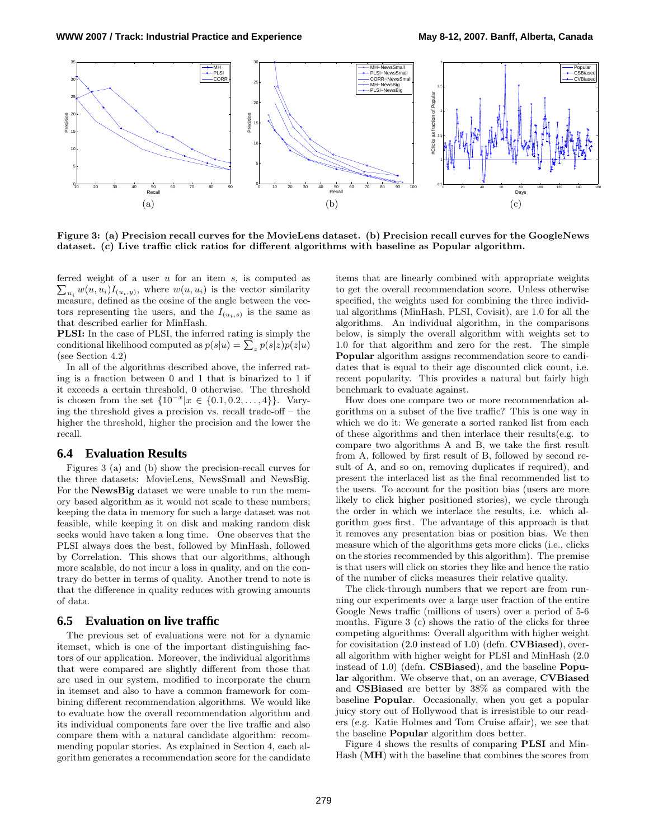

**Figure 3: (a) Precision recall curves for the MovieLens dataset. (b) Precision recall curves for the GoogleNews dataset. (c) Live traffic click ratios for different algorithms with baseline as Popular algorithm.**

 $\sum_{u_i} w(u, u_i) I_{(u_i, y)}$ , where  $w(u, u_i)$  is the vector similarity ferred weight of a user  $u$  for an item  $s$ , is computed as measure, defined as the cosine of the angle between the vectors representing the users, and the  $I_{(u_i,s)}$  is the same as that described earlier for MinHash.

**PLSI:** In the case of PLSI, the inferred rating is simply the conditional likelihood computed as  $p(s|u) = \sum_{z} p(s|z)p(z|u)$ (see Section 4.2)

In all of the algorithms described above, the inferred rating is a fraction between 0 and 1 that is binarized to 1 if it exceeds a certain threshold, 0 otherwise. The threshold is chosen from the set  $\{10^{-x}|x \in \{0.1, 0.2, ..., 4\}\}$ . Varying the threshold gives a precision vs. recall trade-off – the higher the threshold, higher the precision and the lower the recall.

## **6.4 Evaluation Results**

Figures 3 (a) and (b) show the precision-recall curves for the three datasets: MovieLens, NewsSmall and NewsBig. For the **NewsBig** dataset we were unable to run the memory based algorithm as it would not scale to these numbers; keeping the data in memory for such a large dataset was not feasible, while keeping it on disk and making random disk seeks would have taken a long time. One observes that the PLSI always does the best, followed by MinHash, followed by Correlation. This shows that our algorithms, although more scalable, do not incur a loss in quality, and on the contrary do better in terms of quality. Another trend to note is that the difference in quality reduces with growing amounts of data.

#### **6.5 Evaluation on live traffic**

The previous set of evaluations were not for a dynamic itemset, which is one of the important distinguishing factors of our application. Moreover, the individual algorithms that were compared are slightly different from those that are used in our system, modified to incorporate the churn in itemset and also to have a common framework for combining different recommendation algorithms. We would like to evaluate how the overall recommendation algorithm and its individual components fare over the live traffic and also compare them with a natural candidate algorithm: recommending popular stories. As explained in Section 4, each algorithm generates a recommendation score for the candidate items that are linearly combined with appropriate weights to get the overall recommendation score. Unless otherwise specified, the weights used for combining the three individual algorithms (MinHash, PLSI, Covisit), are 1.0 for all the algorithms. An individual algorithm, in the comparisons below, is simply the overall algorithm with weights set to 1.0 for that algorithm and zero for the rest. The simple **Popular** algorithm assigns recommendation score to candidates that is equal to their age discounted click count, i.e. recent popularity. This provides a natural but fairly high benchmark to evaluate against.

How does one compare two or more recommendation algorithms on a subset of the live traffic? This is one way in which we do it: We generate a sorted ranked list from each of these algorithms and then interlace their results(e.g. to compare two algorithms A and B, we take the first result from A, followed by first result of B, followed by second result of A, and so on, removing duplicates if required), and present the interlaced list as the final recommended list to the users. To account for the position bias (users are more likely to click higher positioned stories), we cycle through the order in which we interlace the results, i.e. which algorithm goes first. The advantage of this approach is that it removes any presentation bias or position bias. We then measure which of the algorithms gets more clicks (i.e., clicks on the stories recommended by this algorithm). The premise is that users will click on stories they like and hence the ratio of the number of clicks measures their relative quality.

The click-through numbers that we report are from running our experiments over a large user fraction of the entire Google News traffic (millions of users) over a period of 5-6 months. Figure 3 (c) shows the ratio of the clicks for three competing algorithms: Overall algorithm with higher weight for covisitation (2.0 instead of 1.0) (defn. **CVBiased**), overall algorithm with higher weight for PLSI and MinHash (2.0 instead of 1.0) (defn. **CSBiased**), and the baseline **Popular** algorithm. We observe that, on an average, **CVBiased** and **CSBiased** are better by 38% as compared with the baseline **Popular**. Occasionally, when you get a popular juicy story out of Hollywood that is irresistible to our readers (e.g. Katie Holmes and Tom Cruise affair), we see that the baseline **Popular** algorithm does better.

Figure 4 shows the results of comparing **PLSI** and Min-Hash (**MH**) with the baseline that combines the scores from